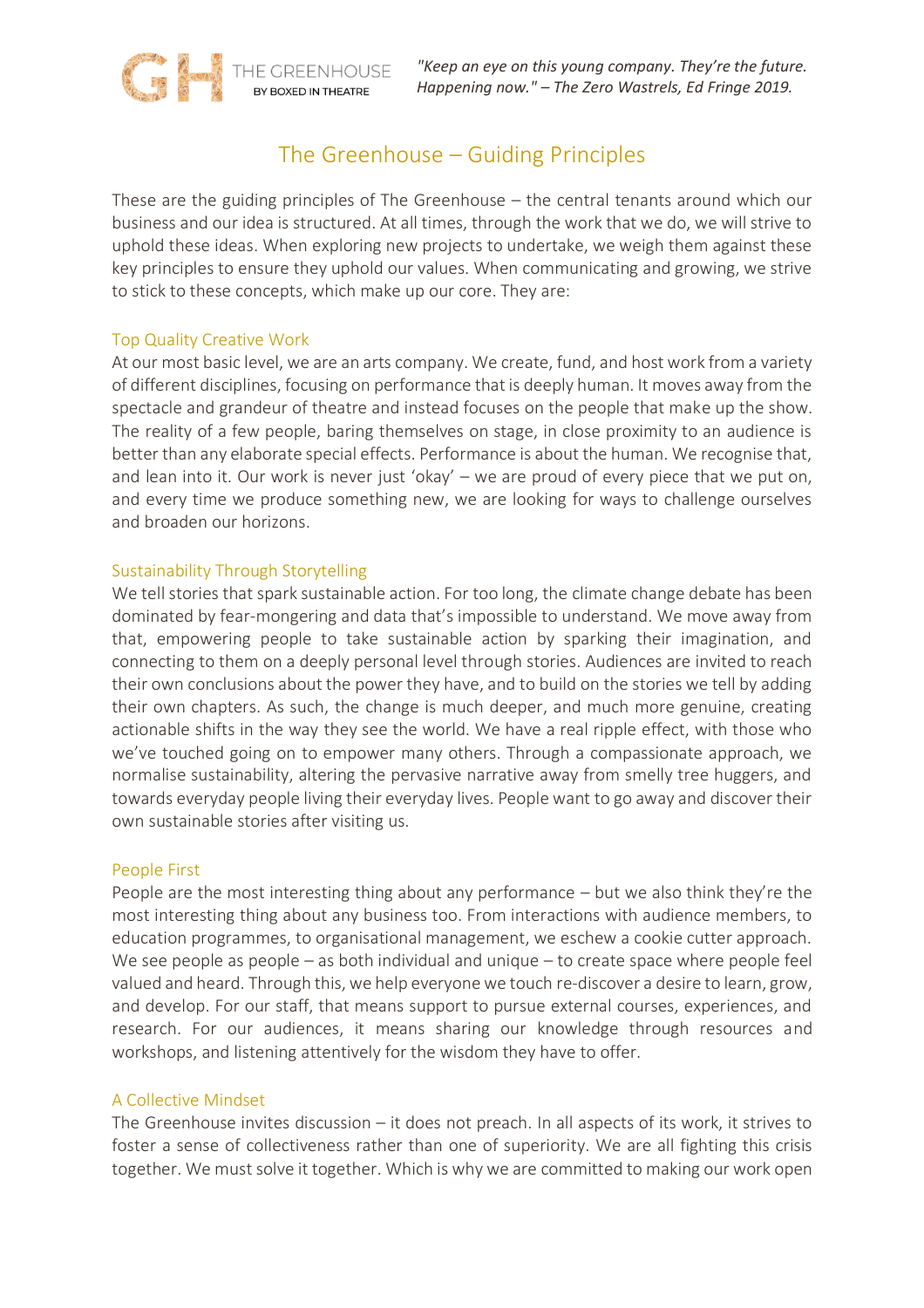

*"Keep an eye on this young company. They're the future. Happening now." – The Zero Wastrels, Ed Fringe 2019.*

# The Greenhouse – Guiding Principles

These are the guiding principles of The Greenhouse – the central tenants around which our business and our idea is structured. At all times, through the work that we do, we will strive to uphold these ideas. When exploring new projects to undertake, we weigh them against these key principles to ensure they uphold our values. When communicating and growing, we strive to stick to these concepts, which make up our core. They are:

# Top Quality Creative Work

At our most basic level, we are an arts company. We create, fund, and host work from a variety of different disciplines, focusing on performance that is deeply human. It moves away from the spectacle and grandeur of theatre and instead focuses on the people that make up the show. The reality of a few people, baring themselves on stage, in close proximity to an audience is better than any elaborate special effects. Performance is about the human. We recognise that, and lean into it. Our work is never just 'okay' – we are proud of every piece that we put on, and every time we produce something new, we are looking for ways to challenge ourselves and broaden our horizons.

#### Sustainability Through Storytelling

We tell stories that spark sustainable action. For too long, the climate change debate has been dominated by fear-mongering and data that's impossible to understand. We move away from that, empowering people to take sustainable action by sparking their imagination, and connecting to them on a deeply personal level through stories. Audiences are invited to reach their own conclusions about the power they have, and to build on the stories we tell by adding their own chapters. As such, the change is much deeper, and much more genuine, creating actionable shifts in the way they see the world. We have a real ripple effect, with those who we've touched going on to empower many others. Through a compassionate approach, we normalise sustainability, altering the pervasive narrative away from smelly tree huggers, and towards everyday people living their everyday lives. People want to go away and discover their own sustainable stories after visiting us.

#### People First

People are the most interesting thing about any performance – but we also think they're the most interesting thing about any business too. From interactions with audience members, to education programmes, to organisational management, we eschew a cookie cutter approach. We see people as people – as both individual and unique – to create space where people feel valued and heard. Through this, we help everyone we touch re-discover a desire to learn, grow, and develop. For our staff, that means support to pursue external courses, experiences, and research. For our audiences, it means sharing our knowledge through resources and workshops, and listening attentively for the wisdom they have to offer.

#### A Collective Mindset

The Greenhouse invites discussion – it does not preach. In all aspects of its work, it strives to foster a sense of collectiveness rather than one of superiority. We are all fighting this crisis together. We must solve it together. Which is why we are committed to making our work open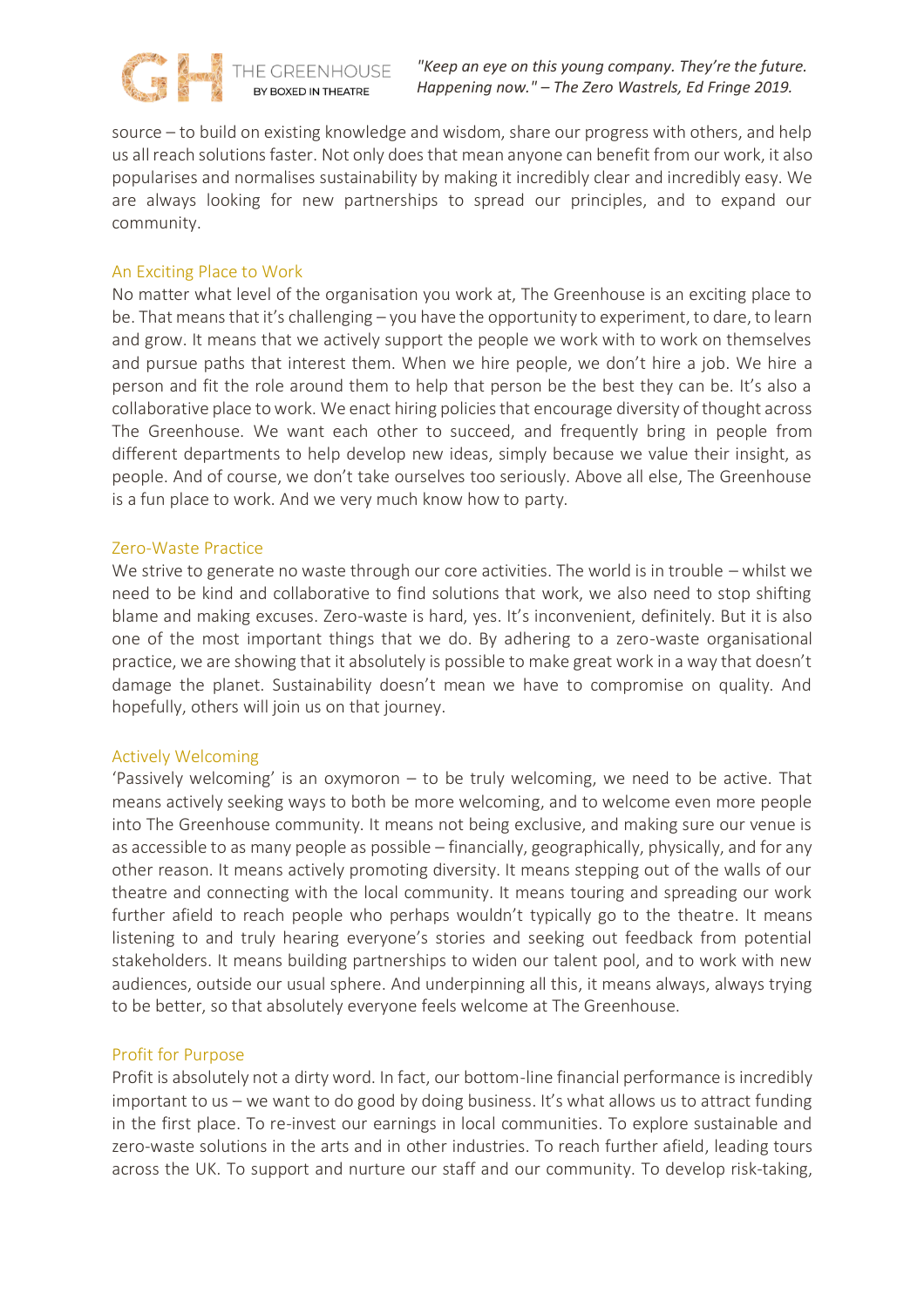*"Keep an eye on this young company. They're the future. Happening now." – The Zero Wastrels, Ed Fringe 2019.*

source – to build on existing knowledge and wisdom, share our progress with others, and help us all reach solutions faster. Not only does that mean anyone can benefit from our work, it also popularises and normalises sustainability by making it incredibly clear and incredibly easy. We are always looking for new partnerships to spread our principles, and to expand our community.

# An Exciting Place to Work

No matter what level of the organisation you work at, The Greenhouse is an exciting place to be. That means that it's challenging – you have the opportunity to experiment, to dare, to learn and grow. It means that we actively support the people we work with to work on themselves and pursue paths that interest them. When we hire people, we don't hire a job. We hire a person and fit the role around them to help that person be the best they can be. It's also a collaborative place to work. We enact hiring policies that encourage diversity of thought across The Greenhouse. We want each other to succeed, and frequently bring in people from different departments to help develop new ideas, simply because we value their insight, as people. And of course, we don't take ourselves too seriously. Above all else, The Greenhouse is a fun place to work. And we very much know how to party.

# Zero-Waste Practice

We strive to generate no waste through our core activities. The world is in trouble – whilst we need to be kind and collaborative to find solutions that work, we also need to stop shifting blame and making excuses. Zero-waste is hard, yes. It's inconvenient, definitely. But it is also one of the most important things that we do. By adhering to a zero-waste organisational practice, we are showing that it absolutely is possible to make great work in a way that doesn't damage the planet. Sustainability doesn't mean we have to compromise on quality. And hopefully, others will join us on that journey.

# Actively Welcoming

'Passively welcoming' is an oxymoron – to be truly welcoming, we need to be active. That means actively seeking ways to both be more welcoming, and to welcome even more people into The Greenhouse community. It means not being exclusive, and making sure our venue is as accessible to as many people as possible – financially, geographically, physically, and for any other reason. It means actively promoting diversity. It means stepping out of the walls of our theatre and connecting with the local community. It means touring and spreading our work further afield to reach people who perhaps wouldn't typically go to the theatre. It means listening to and truly hearing everyone's stories and seeking out feedback from potential stakeholders. It means building partnerships to widen our talent pool, and to work with new audiences, outside our usual sphere. And underpinning all this, it means always, always trying to be better, so that absolutely everyone feels welcome at The Greenhouse.

# Profit for Purpose

Profit is absolutely not a dirty word. In fact, our bottom-line financial performance is incredibly important to us – we want to do good by doing business. It's what allows us to attract funding in the first place. To re-invest our earnings in local communities. To explore sustainable and zero-waste solutions in the arts and in other industries. To reach further afield, leading tours across the UK. To support and nurture our staff and our community. To develop risk-taking,